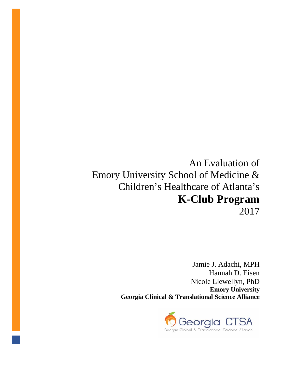# An Evaluation of Emory University School of Medicine & Children's Healthcare of Atlanta's **K-Club Program**  2017

Jamie J. Adachi, MPH Hannah D. Eisen Nicole Llewellyn, PhD **Emory University Georgia Clinical & Translational Science Alliance**

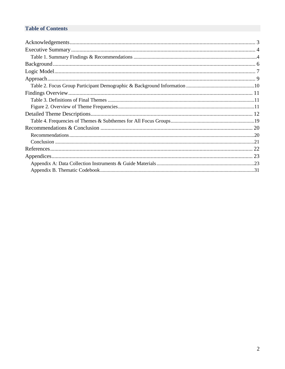# **Table of Contents**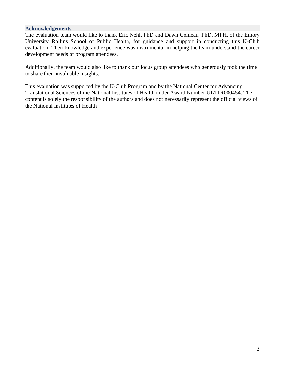#### <span id="page-2-0"></span>**Acknowledgements**

The evaluation team would like to thank Eric Nehl, PhD and Dawn Comeau, PhD, MPH, of the Emory University Rollins School of Public Health, for guidance and support in conducting this K-Club evaluation. Their knowledge and experience was instrumental in helping the team understand the career development needs of program attendees.

Additionally, the team would also like to thank our focus group attendees who generously took the time to share their invaluable insights.

This evaluation was supported by the K-Club Program and by the National Center for Advancing Translational Sciences of the National Institutes of Health under Award Number UL1TR000454. The content is solely the responsibility of the authors and does not necessarily represent the official views of the National Institutes of Health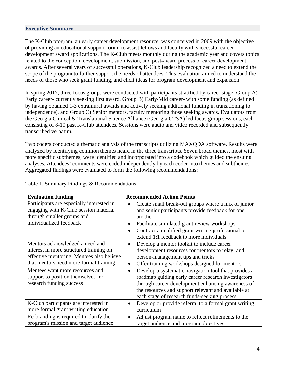#### <span id="page-3-0"></span>**Executive Summary**

The K-Club program, an early career development resource, was conceived in 2009 with the objective of providing an educational support forum to assist fellows and faculty with successful career development award applications. The K-Club meets monthly during the academic year and covers topics related to the conception, development, submission, and post-award process of career development awards. After several years of successful operations, K-Club leadership recognized a need to extend the scope of the program to further support the needs of attendees. This evaluation aimed to understand the needs of those who seek grant funding, and elicit ideas for program development and expansion.

In spring 2017, three focus groups were conducted with participants stratified by career stage: Group A) Early career- currently seeking first award, Group B) Early/Mid career- with some funding (as defined by having obtained 1-3 extramural awards and actively seeking additional funding in transitioning to independence), and Group C) Senior mentors, faculty mentoring those seeking awards. Evaluators from the Georgia Clinical & Translational Science Alliance (Georgia CTSA) led focus group sessions, each consisting of 8-10 past K-Club attendees. Sessions were audio and video recorded and subsequently transcribed verbatim.

Two coders conducted a thematic analysis of the transcripts utilizing MAXQDA software. Results were analyzed by identifying common themes heard in the three transcripts. Seven broad themes, most with more specific subthemes, were identified and incorporated into a codebook which guided the ensuing analyses. Attendees' comments were coded independently by each coder into themes and subthemes. Aggregated findings were evaluated to form the following recommendations:

<span id="page-3-1"></span>Table 1. Summary Findings & Recommendations

| <b>Evaluation Finding</b>                                                                                                                                                                                                                                              | <b>Recommended Action Points</b>                                                                                                                                                                                                                                                                                                                                                                                                                                                          |
|------------------------------------------------------------------------------------------------------------------------------------------------------------------------------------------------------------------------------------------------------------------------|-------------------------------------------------------------------------------------------------------------------------------------------------------------------------------------------------------------------------------------------------------------------------------------------------------------------------------------------------------------------------------------------------------------------------------------------------------------------------------------------|
| Participants are especially interested in<br>engaging with K-Club session material<br>through smaller groups and<br>individualized feedback                                                                                                                            | Create small break-out groups where a mix of junior<br>and senior participants provide feedback for one<br>another<br>Facilitate simulated grant review workshops<br>Contract a qualified grant writing professional to<br>extend 1:1 feedback to more individuals                                                                                                                                                                                                                        |
| Mentors acknowledged a need and<br>interest in more structured training on<br>effective mentoring. Mentees also believe<br>that mentors need more formal training<br>Mentees want more resources and<br>support to position themselves for<br>research funding success | Develop a mentor toolkit to include career<br>$\bullet$<br>development resources for mentors to relay, and<br>person-management tips and tricks<br>Offer training workshops designed for mentors<br>$\bullet$<br>Develop a systematic navigation tool that provides a<br>roadmap guiding early career research investigators<br>through career development enhancing awareness of<br>the resources and support relevant and available at<br>each stage of research funds-seeking process. |
| K-Club participants are interested in<br>more formal grant writing education                                                                                                                                                                                           | Develop or provide referral to a formal grant writing<br>curriculum                                                                                                                                                                                                                                                                                                                                                                                                                       |
| Re-branding is required to clarify the<br>program's mission and target audience                                                                                                                                                                                        | Adjust program name to reflect refinements to the<br>target audience and program objectives                                                                                                                                                                                                                                                                                                                                                                                               |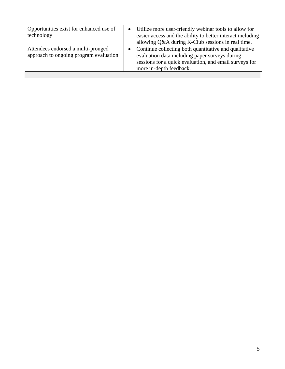<span id="page-4-0"></span>

| Opportunities exist for enhanced use of<br>technology                        | Utilize more user-friendly webinar tools to allow for<br>easier access and the ability to better interact including<br>allowing Q&A during K-Club sessions in real time.                     |
|------------------------------------------------------------------------------|----------------------------------------------------------------------------------------------------------------------------------------------------------------------------------------------|
| Attendees endorsed a multi-pronged<br>approach to ongoing program evaluation | Continue collecting both quantitative and qualitative<br>evaluation data including paper surveys during<br>sessions for a quick evaluation, and email surveys for<br>more in-depth feedback. |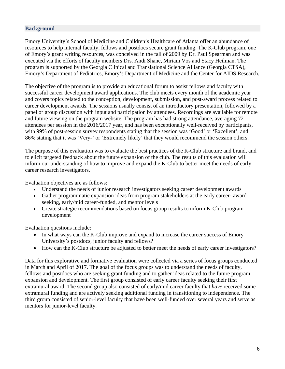### **Background**

Emory University's School of Medicine and Children's Healthcare of Atlanta offer an abundance of resources to help internal faculty, fellows and postdocs secure grant funding. The K-Club program, one of Emory's grant writing resources, was conceived in the fall of 2009 by Dr. Paul Spearman and was executed via the efforts of faculty members Drs. Andi Shane, Miriam Vos and Stacy Heilman. The program is supported by the Georgia Clinical and Translational Science Alliance (Georgia CTSA), Emory's Department of Pediatrics, Emory's Department of Medicine and the Center for AIDS Research.

The objective of the program is to provide an educational forum to assist fellows and faculty with successful career development award applications. The club meets every month of the academic year and covers topics related to the conception, development, submission, and post-award process related to career development awards. The sessions usually consist of an introductory presentation, followed by a panel or group discussion with input and participation by attendees. Recordings are available for remote and future viewing on the program website. The program has had strong attendance, averaging 72 attendees per session in the 2016/2017 year, and has been exceptionally well-received by participants, with 99% of post-session survey respondents stating that the session was 'Good' or 'Excellent', and 86% stating that it was 'Very-' or 'Extremely likely' that they would recommend the session others.

The purpose of this evaluation was to evaluate the best practices of the K-Club structure and brand, and to elicit targeted feedback about the future expansion of the club. The results of this evaluation will inform our understanding of how to improve and expand the K-Club to better meet the needs of early career research investigators.

Evaluation objectives are as follows:

- Understand the needs of junior research investigators seeking career development awards
- Gather programmatic expansion ideas from program stakeholders at the early career- award seeking, early/mid career-funded, and mentor levels
- Create strategic recommendations based on focus group results to inform K-Club program development

Evaluation questions include:

- In what ways can the K-Club improve and expand to increase the career success of Emory University's postdocs, junior faculty and fellows?
- How can the K-Club structure be adjusted to better meet the needs of early career investigators?

Data for this explorative and formative evaluation were collected via a series of focus groups conducted in March and April of 2017. The goal of the focus groups was to understand the needs of faculty, fellows and postdocs who are seeking grant funding and to gather ideas related to the future program expansion and development. The first group consisted of early career faculty seeking their first extramural award. The second group also consisted of early/mid career faculty that *have* received some extramural funding and are actively seeking additional funding in transitioning to independence. The third group consisted of senior-level faculty that have been well-funded over several years and serve as mentors for junior-level faculty.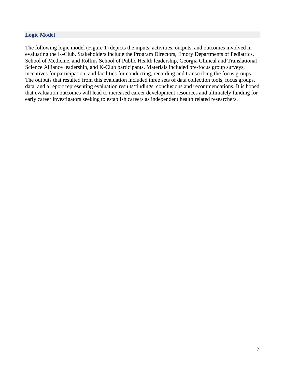### <span id="page-6-0"></span>**Logic Model**

The following logic model (Figure 1) depicts the inputs, activities, outputs, and outcomes involved in evaluating the K-Club. Stakeholders include the Program Directors, Emory Departments of Pediatrics, School of Medicine, and Rollins School of Public Health leadership, Georgia Clinical and Translational Science Alliance leadership, and K-Club participants. Materials included pre-focus group surveys, incentives for participation, and facilities for conducting, recording and transcribing the focus groups. The outputs that resulted from this evaluation included three sets of data collection tools, focus groups, data, and a report representing evaluation results/findings, conclusions and recommendations. It is hoped that evaluation outcomes will lead to increased career development resources and ultimately funding for early career investigators seeking to establish careers as independent health related researchers.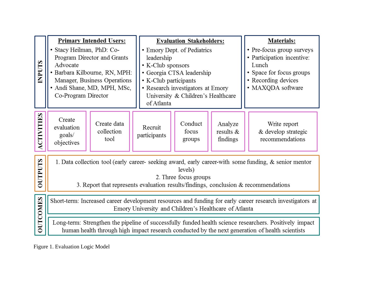|                  |                                                                                                                                                                                                                                             | <b>Primary Intended Users:</b>                                                                                              |                                                                                                                                                                                                               | <b>Evaluation Stakeholders:</b> |                                                                                                                                          | <b>Materials:</b> |  |
|------------------|---------------------------------------------------------------------------------------------------------------------------------------------------------------------------------------------------------------------------------------------|-----------------------------------------------------------------------------------------------------------------------------|---------------------------------------------------------------------------------------------------------------------------------------------------------------------------------------------------------------|---------------------------------|------------------------------------------------------------------------------------------------------------------------------------------|-------------------|--|
| <b>SLAANI</b>    | • Stacy Heilman, PhD: Co-<br>Advocate<br>Co-Program Director                                                                                                                                                                                | Program Director and Grants<br>· Barbara Kilbourne, RN, MPH:<br>Manager, Business Operations<br>· Andi Shane, MD, MPH, MSc, | • Emory Dept. of Pediatrics<br>leadership<br>• K-Club sponsors<br>· Georgia CTSA leadership<br>• K-Club participants<br>• Research investigators at Emory<br>University & Children's Healthcare<br>of Atlanta |                                 | • Pre-focus group surveys<br>· Participation incentive:<br>Lunch<br>• Space for focus groups<br>• Recording devices<br>· MAXQDA software |                   |  |
| <b>CTIVITIES</b> | Create<br>Create data<br>Conduct<br>Analyze<br>Write report<br>Recruit<br>evaluation<br>collection<br>& develop strategic<br>focus<br>results $\&$<br>goals/<br>participants<br>recommendations<br>tool<br>findings<br>groups<br>objectives |                                                                                                                             |                                                                                                                                                                                                               |                                 |                                                                                                                                          |                   |  |
| <b>SLIALIO</b>   | 1. Data collection tool (early career- seeking award, early career-with some funding, & senior mentor<br>levels)<br>2. Three focus groups<br>3. Report that represents evaluation results/findings, conclusion $&$ recommendations          |                                                                                                                             |                                                                                                                                                                                                               |                                 |                                                                                                                                          |                   |  |
| <b>OUTCOMES</b>  | Short-term: Increased career development resources and funding for early career research investigators at<br>Emory University and Children's Healthcare of Atlanta                                                                          |                                                                                                                             |                                                                                                                                                                                                               |                                 |                                                                                                                                          |                   |  |
|                  | Long-term: Strengthen the pipeline of successfully funded health science researchers. Positively impact<br>human health through high impact research conducted by the next generation of health scientists                                  |                                                                                                                             |                                                                                                                                                                                                               |                                 |                                                                                                                                          |                   |  |

Figure 1. Evaluation Logic Model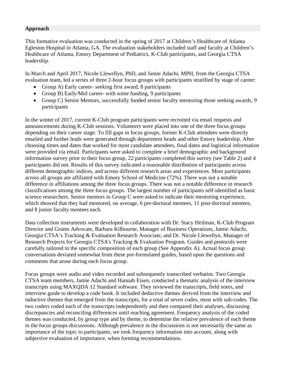#### <span id="page-8-0"></span>**Approach**

This formative evaluation was conducted in the spring of 2017 at Children's Healthcare of Atlanta Egleston Hospital in Atlanta, GA. The evaluation stakeholders included staff and faculty at Children's Healthcare of Atlanta, Emory Department of Pediatrics, K-Club participants, and Georgia CTSA leadership.

In March and April 2017, Nicole Llewellyn, PhD, and Jamie Adachi, MPH, from the Georgia CTSA evaluation team, led a series of three 2-hour focus groups with participants stratified by stage of career:

- Group A) Early career- seeking first award, 8 participants
- Group B) Early/Mid career- with some funding, 9 participants
- Group C) Senior Mentors, successfully funded senior faculty mentoring those seeking awards, 9 participants

In the winter of 2017, current K-Club program participants were recruited via email requests and announcements during K-Club sessions. Volunteers were placed into one of the three focus groups depending on their career stage. To fill gaps in focus groups, former K-Club attendees were directly emailed and further leads were generated through department heads and other Emory leadership. After choosing times and dates that worked for most candidate attendees, final dates and logistical information were provided via email. Participants were asked to complete a brief demographic and background information survey prior to their focus group, 22 participants completed this survey (see Table 2) and 4 participants did not. Results of this survey indicated a reasonable distribution of participants across different demographic indices, and across different research areas and experiences. Most participants across all groups are affiliated with Emory School of Medicine (72%). There was not a notable difference in affiliations among the three focus groups. There was not a notable difference in research classifications among the three focus groups. The largest number of participants self-identified as basic science researchers. Senior mentors in Group C were asked to indicate their mentoring experience, which showed that they had mentored, on average, 6 pre-doctoral mentees, 11 post-doctoral mentees, and 8 junior faculty mentees each.

Data collection instruments were developed in collaboration with Dr. Stacy Heilman, K-Club Program Director and Grants Advocate, Barbara Kilbourne, Manager of Business Operations, Jamie Adachi, Georgia CTSA's Tracking & Evaluation Research Associate, and Dr. Nicole Llewellyn, Manager of Research Projects for Georgia CTSA's Tracking & Evaluation Program. Guides and protocols were carefully tailored to the specific composition of each group (See Appendix A). Actual focus group conversations deviated somewhat from these pre-formulated guides, based upon the questions and comments that arose during each focus group.

Focus groups were audio and video recorded and subsequently transcribed verbatim. Two Georgia CTSA team members, Jamie Adachi and Hannah Eisen, conducted a thematic analysis of the interview transcripts using MAXQDA 12 Standard software. They reviewed the transcripts, field notes, and interview guide to develop a code book. It included deductive themes derived from the interview and inductive themes that emerged from the transcripts, for a total of seven codes, most with sub-codes. The two coders coded each of the transcripts independently and then compared their analyses, discussing discrepancies and reconciling differences until reaching agreement. Frequency analysis of the coded themes was conducted, by group type and by theme, to determine the relative prevalence of each theme in the focus groups discussions. Although prevalence in the discussions is not necessarily the same as importance of the topic to participants, we took frequency information into account, along with subjective evaluation of importance, when forming recommendations.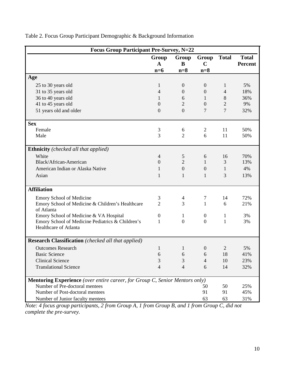| <b>Focus Group Participant Pre-Survey, N=22</b>                                    |                      |                  |                      |                |                                |
|------------------------------------------------------------------------------------|----------------------|------------------|----------------------|----------------|--------------------------------|
|                                                                                    | Group<br>$\mathbf A$ | Group<br>B       | Group<br>$\mathbf C$ | <b>Total</b>   | <b>Total</b><br><b>Percent</b> |
|                                                                                    | $n=6$                | $n=8$            | $n=8$                |                |                                |
| Age                                                                                |                      |                  |                      |                |                                |
| 25 to 30 years old                                                                 | 1                    | $\boldsymbol{0}$ | $\boldsymbol{0}$     | $\mathbf{1}$   | 5%                             |
| 31 to 35 years old                                                                 | $\overline{4}$       | $\overline{0}$   | $\mathbf{0}$         | 4              | 18%                            |
| 36 to 40 years old                                                                 | 1                    | 6                | 1                    | 8              | 36%                            |
| 41 to 45 years old                                                                 | $\overline{0}$       | $\overline{2}$   | $\theta$             | $\overline{2}$ | 9%                             |
| 51 years old and older                                                             | $\boldsymbol{0}$     | $\overline{0}$   | 7                    | $\overline{7}$ | 32%                            |
| <b>Sex</b>                                                                         |                      |                  |                      |                |                                |
| Female                                                                             | 3                    | 6                | $\overline{2}$       | 11             | 50%                            |
| Male                                                                               | 3                    | $\overline{2}$   | 6                    | 11             | 50%                            |
| <b>Ethnicity</b> (checked all that applied)                                        |                      |                  |                      |                |                                |
| White                                                                              | $\overline{4}$       | 5                | 6                    | 16             | 70%                            |
| Black/African-American                                                             | $\overline{0}$       | $\overline{2}$   | $\mathbf{1}$         | 3              | 13%                            |
| American Indian or Alaska Native                                                   | 1                    | $\overline{0}$   | $\overline{0}$       | 1              | 4%                             |
| Asian                                                                              | 1                    | $\mathbf{1}$     | 1                    | 3              | 13%                            |
| <b>Affiliation</b>                                                                 |                      |                  |                      |                |                                |
| Emory School of Medicine                                                           | 3                    | 4                | $\tau$               | 14             | 72%                            |
| Emory School of Medicine & Children's Healthcare<br>of Atlanta                     | $\overline{2}$       | 3                | $\mathbf{1}$         | 6              | 21%                            |
| Emory School of Medicine & VA Hospital                                             | $\boldsymbol{0}$     | 1                | $\boldsymbol{0}$     | 1              | 3%                             |
| Emory School of Medicine Pediatrics & Children's                                   | 1                    | $\mathbf{0}$     | $\mathbf{0}$         | $\mathbf{1}$   | 3%                             |
| Healthcare of Atlanta                                                              |                      |                  |                      |                |                                |
| <b>Research Classification</b> (checked all that applied)                          |                      |                  |                      |                |                                |
| <b>Outcomes Research</b>                                                           | 1                    | $\mathbf{1}$     | $\boldsymbol{0}$     | $\overline{2}$ | 5%                             |
| <b>Basic Science</b>                                                               | 6                    | 6                | 6                    | 18             | 41%                            |
| <b>Clinical Science</b>                                                            | 3                    | 3                | 4                    | 10             | 23%                            |
| <b>Translational Science</b>                                                       | $\overline{4}$       | $\overline{4}$   | 6                    | 14             | 32%                            |
| <b>Mentoring Experience</b> (over entire career, for Group C, Senior Mentors only) |                      |                  |                      |                |                                |
| Number of Pre-doctoral mentees                                                     |                      |                  | 50                   | 50             | 25%                            |
| Number of Post-doctoral mentees                                                    |                      |                  | 91                   | 91             | 45%                            |
| Number of Junior faculty mentees                                                   |                      |                  | 63                   | 63             | 31%                            |

# <span id="page-9-0"></span>Table 2. Focus Group Participant Demographic & Background Information

*Note: 4 focus group participants, 2 from Group A, 1 from Group B, and 1 from Group C, did not complete the pre-survey.*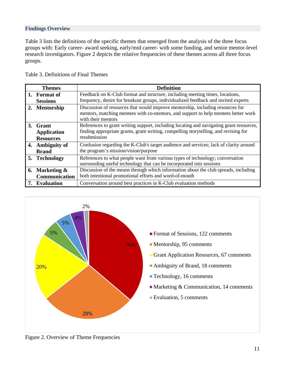## <span id="page-10-0"></span>**Findings Overview**

Table 3 lists the definitions of the specific themes that emerged from the analysis of the three focus groups with: Early career- award seeking, early/mid career- with some funding, and senior mentor-level research investigators. Figure 2 depicts the relative frequencies of these themes across all three focus groups.

<span id="page-10-1"></span>Table 3. Definitions of Final Themes

| <b>Themes</b>      | <b>Definition</b>                                                                                                                                                                          |
|--------------------|--------------------------------------------------------------------------------------------------------------------------------------------------------------------------------------------|
| 1. Format of       | Feedback on K-Club format and structure, including meeting times, locations,                                                                                                               |
| <b>Sessions</b>    | frequency, desire for breakout groups, individualized feedback and invited experts                                                                                                         |
| 2. Mentorship      | Discussion of resources that would improve mentorship, including resources for<br>mentors, matching mentees with co-mentors, and support to help mentees better work<br>with their mentors |
| 3. Grant           | References to grant writing support, including locating and navigating grant resources,                                                                                                    |
| <b>Application</b> | finding appropriate grants, grant writing, compelling storytelling, and revising for                                                                                                       |
| <b>Resources</b>   | resubmission                                                                                                                                                                               |
| 4. Ambiguity of    | Confusion regarding the K-Club's target audience and services; lack of clarity around                                                                                                      |
| <b>Brand</b>       | the program's mission/vision/purpose                                                                                                                                                       |
| 5. Technology      | References to what people want from various types of technology; conversation                                                                                                              |
|                    | surrounding useful technology that can be incorporated into sessions                                                                                                                       |
| 6. Marketing &     | Discussion of the means through which information about the club spreads, including                                                                                                        |
| Communication      | both intentional promotional efforts and word-of-mouth                                                                                                                                     |
| <b>Evaluation</b>  | Conversation around best practices in K-Club evaluation methods                                                                                                                            |



<span id="page-10-2"></span>Figure 2. Overview of Theme Frequencies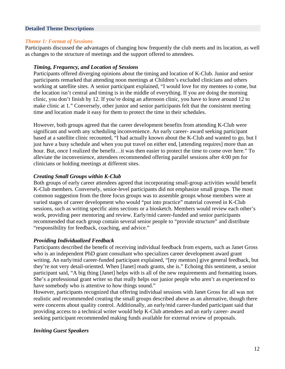#### <span id="page-11-0"></span>**Detailed Theme Descriptions**

#### *Theme 1: Format of Sessions*

Participants discussed the advantages of changing how frequently the club meets and its location, as well as changes to the structure of meetings and the support offered to attendees.

#### *Timing, Frequency, and Location of Sessions*

Participants offered diverging opinions about the timing and location of K-Club. Junior and senior participants remarked that attending noon meetings at Children's excluded clinicians and others working at satellite sites. A senior participant explained, "I would love for my mentees to come, but the location isn't central and timing is in the middle of everything. If you are doing the morning clinic, you don't finish by 12. If you're doing an afternoon clinic, you have to leave around 12 to make clinic at 1." Conversely, other junior and senior participants felt that the consistent meeting time and location made it easy for them to protect the time in their schedules.

However, both groups agreed that the career development benefits from attending K-Club were significant and worth any scheduling inconvenience. An early career- award seeking participant based at a satellite clinic recounted, "I had actually known about the K-Club and wanted to go, but I just have a busy schedule and when you put travel on either end, [attending requires] more than an hour. But, once I realized the benefit…it was then easier to protect the time to come over here." To alleviate the inconvenience, attendees recommended offering parallel sessions after 4:00 pm for clinicians or holding meetings at different sites.

#### *Creating Small Groups within K-Club*

Both groups of early career attendees agreed that incorporating small-group activities would benefit K-Club members. Conversely, senior-level participants did not emphasize small groups. The most common suggestion from the three focus groups was to assemble groups whose members were at varied stages of career development who would "put into practice" material covered in K-Club sessions, such as writing specific aims sections or a biosketch. Members would review each other's work, providing peer mentoring and review. Early/mid career-funded and senior participants recommended that each group contain several senior people to "provide structure" and distribute "responsibility for feedback, coaching, and advice."

#### *Providing Individualized Feedback*

Participants described the benefit of receiving individual feedback from experts, such as Janet Gross who is an independent PhD grant consultant who specializes career development award grant writing. An early/mid career-funded participant explained, "[my mentors] give general feedback, but they're not very detail-oriented. When [Janet] reads grants, she is." Echoing this sentiment, a senior participant said, "A big thing [Janet] helps with is all of the new requirements and formatting issues. She's a professional grant writer so that really helps our junior people who aren't as experienced to have somebody who is attentive to how things sound."

However, participants recognized that offering individual sessions with Janet Gross for all was not realistic and recommended creating the small groups described above as an alternative, though there were concerns about quality control. Additionally, an early/mid career-funded participant said that providing access to a technical writer would help K-Club attendees and an early career- award seeking participant recommended making funds available for external review of proposals.

#### *Inviting Guest Speakers*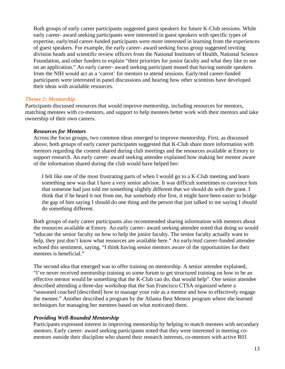Both groups of early career participants suggested guest speakers for future K-Club sessions. While early career- award seeking participants were interested in guest speakers with specific types of expertise, early/mid career-funded participants were more interested in learning from the experiences of guest speakers. For example, the early career- award seeking focus group suggested inviting division heads and scientific review officers from the National Institutes of Health, National Science Foundation, and other funders to explain "their priorities for junior faculty and what they like to see on an application." An early career- award seeking participant mused that having outside speakers from the NIH would act as a 'carrot' for mentors to attend sessions. Early/mid career-funded participants were interested in panel discussions and hearing how other scientists have developed their ideas with available resources.

#### *Theme 2: Mentorship*

Participants discussed resources that would improve mentorship, including resources for mentors, matching mentees with co-mentors, and support to help mentees better work with their mentors and take ownership of their own careers.

#### *Resources for Mentors*

Across the focus groups, two common ideas emerged to improve mentorship. First, as discussed above, both groups of early career participants suggested that K-Club share more information with mentors regarding the content shared during club meetings and the resources available at Emory to support research. An early career- award seeking attendee explained how making her mentor aware of the information shared during the club would have helped her:

I felt like one of the most frustrating parts of when I would go to a K-Club meeting and learn something new was that I have a very senior advisor. It was difficult sometimes to convince him that someone had just told me something slightly different that we should do with the grant. I think that if he heard it not from me, but somebody else first, it might have been easier to bridge the gap of him saying I should do one thing and the person that just talked to me saying I should do something different.

Both groups of early career participants also recommended sharing information with mentors about the resources available at Emory. An early career- award seeking attendee noted that doing so would "educate the senior faculty on how to help the junior faculty. The senior faculty actually want to help, they just don't know what resources are available here." An early/mid career-funded attendee echoed this sentiment, saying, "I think having senior mentors aware of the opportunities for their mentees is beneficial."

The second idea that emerged was to offer training on mentorship. A senior attendee explained, "I've never received mentorship training so some forum to get structured training on how to be an effective mentor would be something that the K-Club can do, that would help". One senior attendee described attending a three-day workshop that the San Francisco CTSA organized where a "seasoned coached [described] how to manage your role as a mentor and how to effectively engage the mentee." Another described a program by the Atlanta Best Mentor program where she learned techniques for managing her mentees based on what motivated them.

### *Providing Well-Rounded Mentorship*

Participants expressed interest in improving mentorship by helping to match mentees with secondary mentors. Early career- award seeking participants noted that they were interested in meeting comentors outside their discipline who shared their research interests, co-mentors with active R01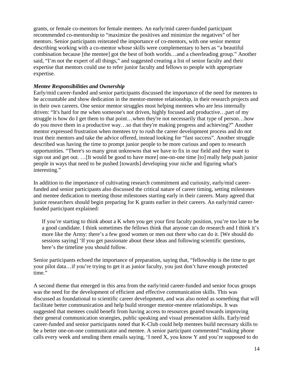grants, or female co-mentors for female mentees. An early/mid career-funded participant recommended co-mentorship to "maximize the positives and minimize the negatives" of her mentors. Senior participants reiterated the importance of co-mentors, with one senior mentor describing working with a co-mentor whose skills were complementary to hers as "a beautiful combination because [the mentee] got the best of both worlds…and a cheerleading group." Another said, "I'm not the expert of all things," and suggested creating a list of senior faculty and their expertise that mentors could use to refer junior faculty and fellows to people with appropriate expertise.

# *Mentee Responsibilities and Ownership*

Early/mid career-funded and senior participants discussed the importance of the need for mentees to be accountable and show dedication in the mentor-mentee relationship, in their research projects and in their own careers. One senior mentor struggles most helping mentees who are less internally driven: "It's hard for me when someone's not driven, highly focused and productive…part of my struggle is how do I get them to that point…when they're not necessarily that type of person…how do you move them in a productive way…so that they're making progress and achieving?" Another mentor expressed frustration when mentees try to rush the career development process and do not trust their mentors and take the advice offered, instead looking for "fast success". Another struggle described was having the time to prompt junior people to be more curious and open to research opportunities. "There's so many great unknowns that we have to fix in our field and they want to sign out and get out. …[It would be good to have more] one-on-one time [to] really help push junior people in ways that need to be pushed [towards] developing your niche and figuring what's interesting."

In addition to the importance of cultivating research commitment and curiosity, early/mid careerfunded and senior participants also discussed the critical nature of career timing, setting milestones and mentee dedication to meeting those milestones starting early in their careers. Many agreed that junior researchers should begin preparing for K grants earlier in their careers. An early/mid careerfunded participant explained:

If you're starting to think about a K when you get your first faculty position, you're too late to be a good candidate. I think sometimes the fellows think that anyone can do research and I think it's more like the Army: there's a few good women or men out there who can do it. [We should do sessions saying] 'If you get passionate about these ideas and following scientific questions, here's the timeline you should follow.

Senior participants echoed the importance of preparation, saying that, "fellowship is the time to get your pilot data…if you're trying to get it as junior faculty, you just don't have enough protected time."

A second theme that emerged in this area from the early/mid career-funded and senior focus groups was the need for the development of efficient and effective communication skills. This was discussed as foundational to scientific career development, and was also noted as something that will facilitate better communication and help build stronger mentor-mentee relationships. It was suggested that mentees could benefit from having access to resources geared towards improving their general communication strategies, public speaking and visual presentation skills. Early/mid career-funded and senior participants noted that K-Club could help mentees build necessary skills to be a better one-on-one communicator and mentee. A senior participant commented "making phone calls every week and sending them emails saying, 'I need X, you know Y and you're supposed to do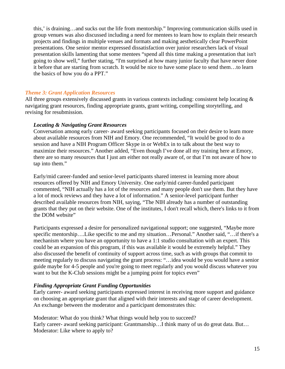this,' is draining…and sucks out the life from mentorship." Improving communication skills used in group venues was also discussed including a need for mentees to learn how to explain their research projects and findings in multiple venues and formats and making aesthetically clear PowerPoint presentations. One senior mentor expressed dissatisfaction over junior researchers lack of visual presentation skills lamenting that some mentees "spend all this time making a presentation that isn't going to show well," further stating, "I'm surprised at how many junior faculty that have never done it before that are starting from scratch. It would be nice to have some place to send them…to learn the basics of how you do a PPT."

#### *Theme 3: Grant Application Resources*

All three groups extensively discussed grants in various contexts including: consistent help locating & navigating grant resources, finding appropriate grants, grant writing, compelling storytelling, and revising for resubmission.

#### *Locating & Navigating Grant Resources*

Conversation among early career- award seeking participants focused on their desire to learn more about available resources from NIH and Emory. One recommended, "It would be good to do a session and have a NIH Program Officer Skype in or WebEx in to talk about the best way to maximize their resources." Another added, "Even though I've done all my training here at Emory, there are so many resources that I just am either not really aware of, or that I'm not aware of how to tap into them."

Early/mid career-funded and senior-level participants shared interest in learning more about resources offered by NIH and Emory University. One early/mid career-funded participant commented, "NIH actually has a lot of the resources and many people don't use them. But they have a lot of mock reviews and they have a lot of information." A senior-level participant further described available resources from NIH, saying, "The NIH already has a number of outstanding grants that they put on their website. One of the institutes, I don't recall which, there's links to it from the DOM website"

Participants expressed a desire for personalized navigational support; one suggested, "Maybe more specific mentorship….Like specific to me and my situation…Personal." Another said, "…if there's a mechanism where you have an opportunity to have a 1:1 studio consultation with an expert. This could be an expansion of this program, if this was available it would be extremely helpful." They also discussed the benefit of continuity of support across time, such as with groups that commit to meeting regularly to discuss navigating the grant process: "…idea would be you would have a senior guide maybe for 4-5 people and you're going to meet regularly and you would discuss whatever you want to but the K-Club sessions might be a jumping point for topics even"

### *Finding Appropriate Grant Funding Opportunities*

Early career- award seeking participants expressed interest in receiving more support and guidance on choosing an appropriate grant that aligned with their interests and stage of career development. An exchange between the moderator and a participant demonstrates this:

Moderator: What do you think? What things would help you to succeed? Early career- award seeking participant: Grantmanship...I think many of us do great data. But... Moderator: Like where to apply to?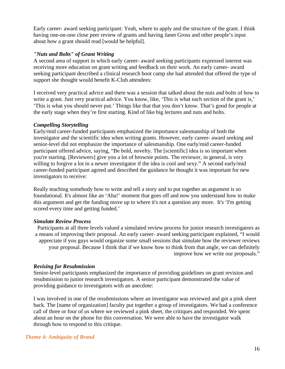Early career- award seeking participant: Yeah, where to apply and the structure of the grant. I think having one-on-one close peer review of grants and having Janet Gross and other people's input about how a grant should read [would be helpful].

#### *"Nuts and Bolts" of Grant Writing*

A second area of support in which early career- award seeking participants expressed interest was receiving more education on grant writing and feedback on their work. An early career- award seeking participant described a clinical research boot camp she had attended that offered the type of support she thought would benefit K-Club attendees:

I received very practical advice and there was a session that talked about the nuts and bolts of how to write a grant. Just very practical advice. You know, like, 'This is what each section of the grant is,' 'This is what you should never put.' Things like that that you don't know. That's good for people at the early stage when they're first starting. Kind of like big lectures and nuts and bolts.

#### *Compelling Storytelling*

Early/mid career-funded participants emphasized the importance salesmanship of both the investigator and the scientific idea when writing grants. However, early career- award seeking and senior-level did not emphasize the importance of salesmanship. One early/mid career-funded participant offered advice, saying, "Be bold, novelty. The [scientific] idea is so important when you're starting. [Reviewers] give you a lot of brownie points. The reviewer, in general, is very willing to forgive a lot in a newer investigator if the idea is cool and sexy." A second early/mid career-funded participant agreed and described the guidance he thought it was important for new investigators to receive:

Really teaching somebody how to write and tell a story and to put together an argument is so foundational. It's almost like an 'Aha!' moment that goes off and now you understand how to make this argument and get the funding move up to where it's not a question any more. It's 'I'm getting scored every time and getting funded.'

### *Simulate Review Process*

Participants at all three levels valued a simulated review process for junior research investigators as a means of improving their proposal. An early career- award seeking participant explained, "I would appreciate if you guys would organize some small sessions that simulate how the reviewer reviews your proposal. Because I think that if we know how to think from that angle, we can definitely improve how we write our proposals."

#### *Revising for Resubmission*

Senior-level participants emphasized the importance of providing guidelines on grant revision and resubmission to junior research investigators. A senior participant demonstrated the value of providing guidance to investigators with an anecdote:

I was involved in one of the resubmissions where an investigator was reviewed and got a pink sheet back. The [name of organization] faculty put together a group of investigators. We had a conference call of three or four of us where we reviewed a pink sheet, the critiques and responded. We spent about an hour on the phone for this conversation. We were able to have the investigator walk through how to respond to this critique.

#### *Theme 4: Ambiguity of Brand*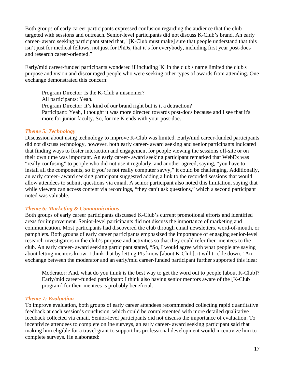Both groups of early career participants expressed confusion regarding the audience that the club targeted with sessions and outreach. Senior-level participants did not discuss K-Club's brand. An early career- award seeking participant stated that, "[K-Club must make] sure that people understand that this isn't just for medical fellows, not just for PhDs, that it's for everybody, including first year post-docs and research career-oriented."

Early/mid career-funded participants wondered if including 'K' in the club's name limited the club's purpose and vision and discouraged people who were seeking other types of awards from attending. One exchange demonstrated this concern:

Program Director: Is the K-Club a misnomer? All participants: Yeah. Program Director: It's kind of our brand right but is it a detraction? Participant: Yeah, I thought it was more directed towards post-docs because and I see that it's more for junior faculty. So, for me K ends with your post-doc.

#### *Theme 5: Technology*

Discussion about using technology to improve K-Club was limited. Early/mid career-funded participants did not discuss technology, however, both early career- award seeking and senior participants indicated that finding ways to foster interaction and engagement for people viewing the sessions off-site or on their own time was important. An early career- award seeking participant remarked that WebEx was "really confusing" to people who did not use it regularly, and another agreed, saying, "you have to install all the components, so if you're not really computer savvy," it could be challenging. Additionally, an early career- award seeking participant suggested adding a link to the recorded sessions that would allow attendees to submit questions via email. A senior participant also noted this limitation, saying that while viewers can access content via recordings, "they can't ask questions," which a second participant noted was valuable.

### *Theme 6: Marketing & Communications*

Both groups of early career participants discussed K-Club's current promotional efforts and identified areas for improvement. Senior-level participants did not discuss the importance of marketing and communication. Most participants had discovered the club through email newsletters, word-of-mouth, or pamphlets. Both groups of early career participants emphasized the importance of engaging senior-level research investigators in the club's purpose and activities so that they could refer their mentees to the club. An early career- award seeking participant stated, "So, I would agree with what people are saying about letting mentors know. I think that by letting PIs know [about K-Club], it will trickle down." An exchange between the moderator and an early/mid career-funded participant further supported this idea:

Moderator: And, what do you think is the best way to get the word out to people [about K-Club]? Early/mid career-funded participant: I think also having senior mentors aware of the [K-Club program] for their mentees is probably beneficial.

### *Theme 7: Evaluation*

To improve evaluation, both groups of early career attendees recommended collecting rapid quantitative feedback at each session's conclusion, which could be complemented with more detailed qualitative feedback collected via email. Senior-level participants did not discuss the importance of evaluation. To incentivize attendees to complete online surveys, an early career- award seeking participant said that making him eligible for a travel grant to support his professional development would incentivize him to complete surveys. He elaborated: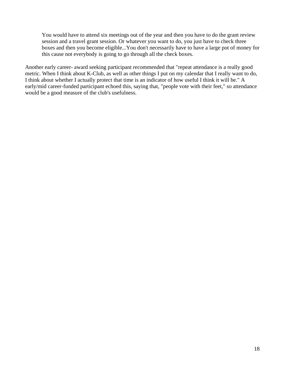You would have to attend six meetings out of the year and then you have to do the grant review session and a travel grant session. Or whatever you want to do, you just have to check three boxes and then you become eligible...You don't necessarily have to have a large pot of money for this cause not everybody is going to go through all the check boxes.

Another early career- award seeking participant recommended that "repeat attendance is a really good metric. When I think about K-Club, as well as other things I put on my calendar that I really want to do, I think about whether I actually protect that time is an indicator of how useful I think it will be." A early/mid career-funded participant echoed this, saying that, "people vote with their feet," so attendance would be a good measure of the club's usefulness.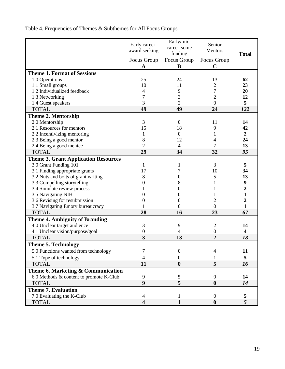<span id="page-18-0"></span>Table 4. Frequencies of Themes & Subthemes for All Focus Groups

|                                             | Early career-<br>award seeking | Early/mid<br>career-some<br>funding | Senior<br>Mentors          | <b>Total</b>            |
|---------------------------------------------|--------------------------------|-------------------------------------|----------------------------|-------------------------|
|                                             | Focus Group<br>A               | Focus Group<br>B                    | Focus Group<br>$\mathbf C$ |                         |
| <b>Theme 1. Format of Sessions</b>          |                                |                                     |                            |                         |
| 1.0 Operations                              | 25                             | 24                                  | 13                         | 62                      |
| 1.1 Small groups                            | 10                             | 11                                  | 2                          | 23                      |
| 1.2 Individualized feedback                 | 4                              | 9                                   | 7                          | 20                      |
| 1.3 Networking                              | 7                              | 3                                   | $\overline{c}$             | 12                      |
| 1.4 Guest speakers                          | 3                              | $\overline{2}$                      | $\overline{0}$             | 5                       |
| <b>TOTAL</b>                                | 49                             | 49                                  | 24                         | 122                     |
| <b>Theme 2. Mentorship</b>                  |                                |                                     |                            |                         |
| 2.0 Mentorship                              | 3                              | $\mathbf{0}$                        | 11                         | 14                      |
| 2.1 Resources for mentors                   | 15                             | 18                                  | 9                          | 42                      |
| 2.2 Incentivizing mentoring                 | 1                              | $\overline{0}$                      | 1                          | $\boldsymbol{2}$        |
| 2.3 Being a good mentor                     | 8                              | 12                                  | 4                          | 24                      |
| 2.4 Being a good mentee                     | $\overline{2}$                 | $\overline{4}$                      | 7                          | 13                      |
| <b>TOTAL</b>                                | 29                             | 34                                  | 32                         | 95                      |
| <b>Theme 3. Grant Application Resources</b> |                                |                                     |                            |                         |
| 3.0 Grant Funding 101                       | 1                              | 1                                   | 3                          | 5                       |
| 3.1 Finding appropriate grants              | 17                             | 7                                   | 10                         | 34                      |
| 3.2 Nuts and bolts of grant writing         | 8                              | $\mathbf{0}$                        | 5                          | 13                      |
| 3.3 Compelling storytelling                 | 0                              | 8                                   | 1                          | $\boldsymbol{9}$        |
| 3.4 Simulate review process                 |                                | $\Omega$                            |                            | 2                       |
| 3.5 Navigating NIH                          | 0                              | $\Omega$                            |                            | $\mathbf{1}$            |
| 3.6 Revising for resubmission               | 0                              | $\Omega$                            | 2                          | 2                       |
| 3.7 Navigating Emory bureaucracy            |                                | $\Omega$                            | $\Omega$                   | 1                       |
| <b>TOTAL</b>                                | 28                             | 16                                  | 23                         | 67                      |
| <b>Theme 4. Ambiguity of Branding</b>       |                                |                                     |                            |                         |
| 4.0 Unclear target audience                 | 3                              | 9                                   | 2                          | 14                      |
| 4.1 Unclear vision/purpose/goal             | $\boldsymbol{0}$               | 4                                   | $\theta$                   | $\overline{\mathbf{4}}$ |
| <b>TOTAL</b>                                | 3                              | 13                                  | $\overline{2}$             | 18                      |
| <b>Theme 5. Technology</b>                  |                                |                                     |                            |                         |
| 5.0 Functions wanted from technology        | 7                              | $\theta$                            | 4                          | 11                      |
| 5.1 Type of technology                      | 4                              | 0                                   |                            | 5                       |
| <b>TOTAL</b>                                | 11                             | $\boldsymbol{0}$                    | 5                          | 16                      |
| Theme 6. Marketing & Communication          |                                |                                     |                            |                         |
| 6.0 Methods & content to promote K-Club     | 9                              | 5                                   | $\boldsymbol{0}$           | 14                      |
| <b>TOTAL</b>                                | 9                              | 5                                   | $\boldsymbol{0}$           | 14                      |
| <b>Theme 7. Evaluation</b>                  |                                |                                     |                            |                         |
| 7.0 Evaluating the K-Club                   | 4                              |                                     | $\Omega$                   | 5                       |
| <b>TOTAL</b>                                | 4                              | 1                                   | $\boldsymbol{0}$           | 5                       |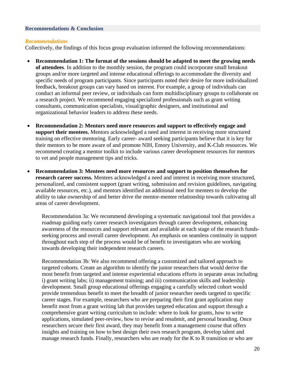#### <span id="page-19-0"></span>**Recommendations & Conclusion**

#### <span id="page-19-1"></span>*Recommendations*

Collectively, the findings of this focus group evaluation informed the following recommendations:

- **Recommendation 1: The format of the sessions should be adapted to meet the growing needs of attendees**. In addition to the monthly session, the program could incorporate small breakout groups and/or more targeted and intense educational offerings to accommodate the diversity and specific needs of program participants. Since participants noted their desire for more individualized feedback, breakout groups can vary based on interest. For example, a group of individuals can conduct an informal peer review, or individuals can form multidisciplinary groups to collaborate on a research project. We recommend engaging specialized professionals such as grant writing consultants, communication specialists, visual/graphic designers, and institutional and organizational behavior leaders to address these needs.
- **Recommendation 2: Mentors need more resources and support to effectively engage and support their mentees.** Mentors acknowledged a need and interest in receiving more structured training on effective mentoring. Early career- award seeking participants believe that it is key for their mentors to be more aware of and promote NIH, Emory University, and K-Club resources. We recommend creating a mentor toolkit to include various career development resources for mentors to vet and people management tips and tricks.
- **Recommendation 3: Mentees need more resources and support to position themselves for research career success.** Mentees acknowledged a need and interest in receiving more structured, personalized, and consistent support (grant writing, submission and revision guidelines, navigating available resources, etc.), and mentors identified an additional need for mentees to develop the ability to take ownership of and better drive the mentor-mentee relationship towards cultivating all areas of career development.

Recommendation 3a: We recommend developing a systematic navigational tool that provides a roadmap guiding early career research investigators through career development, enhancing awareness of the resources and support relevant and available at each stage of the research fundsseeking process and overall career development. An emphasis on seamless continuity in support throughout each step of the process would be of benefit to investigators who are working towards developing their independent research careers.

Recommendation 3b: We also recommend offering a customized and tailored approach to targeted cohorts. Create an algorithm to identify the junior researchers that would derive the most benefit from targeted and intense experiential educations efforts in separate areas including i) grant writing labs; ii) management training; and iii) communication skills and leadership development. Small group educational offerings engaging a carefully selected cohort would provide tremendous benefit to meet the breadth of junior researcher needs targeted to specific career stages. For example, researchers who are preparing their first grant application may benefit most from a grant writing lab that provides targeted education and support through a comprehensive grant writing curriculum to include: where to look for grants, how to write applications, simulated peer-review, how to revise and resubmit, and personal branding. Once researchers secure their first award, they may benefit from a management course that offers insights and training on how to best design their own research program, develop talent and manage research funds. Finally, researchers who are ready for the K to R transition or who are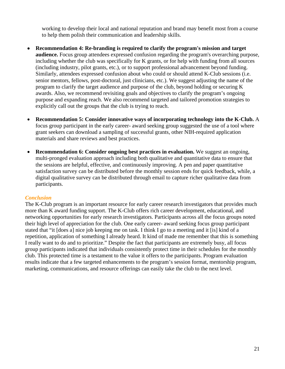working to develop their local and national reputation and brand may benefit most from a course to help them polish their communication and leadership skills.

- **Recommendation 4: Re-branding is required to clarify the program's mission and target audience.** Focus group attendees expressed confusion regarding the program's overarching purpose, including whether the club was specifically for K grants, or for help with funding from all sources (including industry, pilot grants, etc.), or to support professional advancement beyond funding. Similarly, attendees expressed confusion about who could or should attend K-Club sessions (i.e. senior mentors, fellows, post-doctoral, just clinicians, etc.). We suggest adjusting the name of the program to clarify the target audience and purpose of the club, beyond holding or securing K awards. Also, we recommend revisiting goals and objectives to clarify the program's ongoing purpose and expanding reach. We also recommend targeted and tailored promotion strategies to explicitly call out the groups that the club is trying to reach.
- **Recommendation 5: Consider innovative ways of incorporating technology into the K-Club.** A focus group participant in the early career- award seeking group suggested the use of a tool where grant seekers can download a sampling of successful grants, other NIH-required application materials and share reviews and best practices.
- **Recommendation 6: Consider ongoing best practices in evaluation.** We suggest an ongoing, multi-pronged evaluation approach including both qualitative and quantitative data to ensure that the sessions are helpful, effective, and continuously improving. A pen and paper quantitative satisfaction survey can be distributed before the monthly session ends for quick feedback, while, a digital qualitative survey can be distributed through email to capture richer qualitative data from participants.

### <span id="page-20-0"></span>*Conclusion*

<span id="page-20-1"></span>The K-Club program is an important resource for early career research investigators that provides much more than K award funding support. The K-Club offers rich career development, educational, and networking opportunities for early research investigators. Participants across all the focus groups noted their high level of appreciation for the club. One early career- award seeking focus group participant stated that "it [does a] nice job keeping me on task. I think I go to a meeting and it [is] kind of a repetition, application of something I already heard. It kind of made me remember that this is something I really want to do and to prioritize." Despite the fact that participants are extremely busy, all focus group participants indicated that individuals consistently protect time in their schedules for the monthly club. This protected time is a testament to the value it offers to the participants. Program evaluation results indicate that a few targeted enhancements to the program's session format, mentorship program, marketing, communications, and resource offerings can easily take the club to the next level.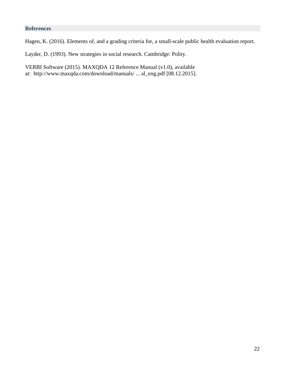# **References**

Hagen, K. (2016). Elements of, and a grading criteria for, a small-scale public health evaluation report.

Layder, D. (1993). New strategies in social research. Cambridge: Polity.

<span id="page-21-0"></span>VERBI Software (2015). MAXQDA 12 Reference Manual (v1.0), available at: [http://www.maxqda.com/download/manuals/ ... al\\_eng.pdf](http://www.maxqda.com/download/manuals/MAX12_manual_eng.pdf) [08.12.2015].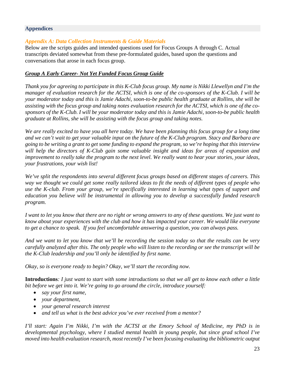#### **Appendices**

#### <span id="page-22-0"></span>*Appendix A: Data Collection Instruments & Guide Materials*

Below are the scripts guides and intended questions used for Focus Groups A through C. Actual transcripts deviated somewhat from these pre-formulated guides, based upon the questions and conversations that arose in each focus group.

#### *Group A Early Career- Not Yet Funded Focus Group Guide*

*Thank you for agreeing to participate in this K-Club focus group. My name is Nikki Llewellyn and I'm the manager of evaluation research for the ACTSI, which is one of the co-sponsors of the K-Club. I will be your moderator today and this is Jamie Adachi, soon-to-be public health graduate at Rollins, she will be assisting with the focus group and taking notes evaluation research for the ACTSI, which is one of the cosponsors of the K-Club. I will be your moderator today and this is Jamie Adachi, soon-to-be public health graduate at Rollins, she will be assisting with the focus group and taking notes.*

*We are really excited to have you all here today. We have been planning this focus group for a long time and we can't wait to get your valuable input on the future of the K-Club program. Stacy and Barbara are going to be writing a grant to get some funding to expand the program, so we're hoping that this interview will help the directors of K-Club gain some valuable insight and ideas for areas of expansion and improvement to really take the program to the next level. We really want to hear your stories, your ideas, your frustrations, your wish list!* 

*We've split the respondents into several different focus groups based on different stages of careers. This way we thought we could get some really tailored ideas to fit the needs of different types of people who use the K-club. From your group, we're specifically interested in learning what types of support and education you believe will be instrumental in allowing you to develop a successfully funded research program.*

*I want to let you know that there are no right or wrong answers to any of these questions. We just want to know about your experiences with the club and how it has impacted your career. We would like everyone to get a chance to speak. If you feel uncomfortable answering a question, you can always pass.*

*And we want to let you know that we'll be recording the session today so that the results can be very carefully analyzed after this. The only people who will listen to the recording or see the transcript will be the K-Club leadership and you'll only be identified by first name.* 

*Okay, so is everyone ready to begin? Okay, we'll start the recording now.*

**Introductions***: I just want to start with some introductions so that we all get to know each other a little bit before we get into it. We're going to go around the circle, introduce yourself:*

- *say your first name,*
- *your department,*
- *your general research interest*
- *and tell us what is the best advice you've ever received from a mentor?*

*I'll start: Again I'm Nikki, I'm with the ACTSI at the Emory School of Medicine, my PhD is in developmental psychology, where I studied mental health in young people, but since grad school I've moved into health evaluation research, most recently I've been focusing evaluating the bibliometric output*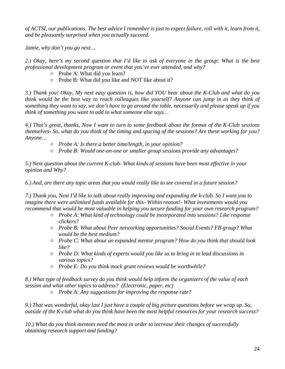*of ACTSI, our publications. The best advice I remember is just to expect failure, roll with it, learn from it, and be pleasantly surprised when you actually succeed.* 

*Jamie, why don't you go next…*

*2.) Okay, here's my second question that I'd like to ask of everyone in the group: What is the best professional development program or event that you've ever attended, and why?*

- Probe A: What did you learn?
- Probe B: What did you like and NOT like about it?

*3.) Thank you! Okay, My next easy question is, how did YOU hear about the K-Club and what do you think would be the best way to reach colleagues like yourself? Anyone can jump in as they think of something they want to say, we don't have to go around the table, necessarily and please speak up if you think of something you want to add to what someone else says…*

*4.) That's great, thanks, Now I want to turn to some feedback about the format of the K-Club sessions themselves- So, what do you think of the timing and spacing of the sessions? Are these working for you? Anyone…*

- *Probe A: Is there a better time/length, in your opinion?*
- *Probe B: Would one-on-one or smaller group sessions provide any advantages?*

*5.) Next question about the current K-club- What kinds of sessions have been most effective in your opinion and Why?*

*6.) And, are there any topic areas that you would really like to see covered in a future session?*

*7.) Thank you, Next I'd like to talk about really improving and expanding the k-club. So I want you to imagine there were unlimited funds available for this- Within reason!- What investments would you recommend that would be most valuable in helping you secure funding for your own research program?*

- *Probe A: What kind of technology could be incorporated into sessions? Like response clickers?*
- *Probe B: What about Peer networking opportunities? Social Events? FB group? What would be the best medium?*
- *Probe C: What about an expanded mentor program? How do you think that should look like?*
- *Probe D: What kinds of experts would you like us to bring in to lead discussions in various topics?*
- *Probe E: Do you think mock grant reviews would be worthwhile?*

*8.) What type of feedback survey do you think would help inform the organizers of the value of each session and what other topics to address? (Electronic, paper, etc)* 

○ *Probe A: Any suggestions for improving the response rate?*

*9.) That was wonderful, okay last I just have a couple of big picture questions before we wrap up. So, outside of the K-club what do you think have been the most helpful resources for your research success?*

*10.) What do you think mentees need the most in order to increase their changes of successfully obtaining research support and funding?*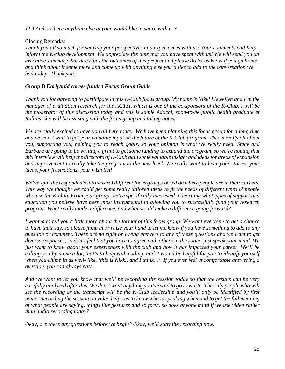*11.) And, is there anything else anyone would like to share with us?*

Closing Remarks:

*Thank you all so much for sharing your perspectives and experiences with us! Your comments will help inform the K-club development. We appreciate the time that you have spent with us! We will send you an executive summary that describes the outcomes of this project and please do let us know if you go home and think about it some more and come up with anything else you'd like to add to the conversation we had today- Thank you!*

### *Group B Early/mid career-funded Focus Group Guide*

*Thank you for agreeing to participate in this K-Club focus group. My name is Nikki Llewellyn and I'm the manager of evaluation research for the ACTSI, which is one of the co-sponsors of the K-Club. I will be the moderator of this discussion today and this is Jamie Adachi, soon-to-be public health graduate at Rollins, she will be assisting with the focus group and taking notes.*

*We are really excited to have you all here today. We have been planning this focus group for a long time and we can't wait to get your valuable input on the future of the K-Club program. This is really all about you, supporting you, helping you to reach goals, so your opinion is what we really need. Stacy and Barbara are going to be writing a grant to get some funding to expand the program, so we're hoping that this interview will help the directors of K-Club gain some valuable insight and ideas for areas of expansion and improvement to really take the program to the next level. We really want to hear your stories, your ideas, your frustrations, your wish list!* 

*We've split the respondents into several different focus groups based on where people are in their careers. This way we thought we could get some really tailored ideas to fit the needs of different types of people who use the K-club. From your group, we're specifically interested in learning what types of support and education you believe have been most instrumental in allowing you to successfully fund your research program. What really made a difference, and what would make a difference going forward?*

*I wanted to tell you a little more about the format of this focus group. We want everyone to get a chance to have their say, so please jump in or raise your hand to let me know if you have something to add to any question or comment. There are no right or wrong answers to any of these questions and we want to get diverse responses, so don't feel that you have to agree with others in the room- just speak your mind. We just want to know about your experiences with the club and how it has impacted your career. We'll be calling you by name a lot, that's to help with coding, and it would be helpful for you to identify yourself when you chime in as well- like, 'this is Nikki, and I think…'. If you ever feel uncomfortable answering a question, you can always pass.*

*And we want to let you know that we'll be recording the session today so that the results can be very carefully analyzed after this. We don't want anything you've said to go to waste. The only people who will see the recording or the transcript will be the K-Club leadership and you'll only be identified by first name. Recording the session on video helps us to know who is speaking when and to get the full meaning of what people are saying, things like gestures and so forth, so does anyone mind if we use video rather than audio recording today?*

*Okay, are there any questions before we begin? Okay, we'll start the recording now.*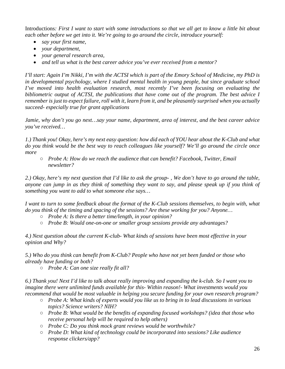Introductions*: First I want to start with some introductions so that we all get to know a little bit about each other before we get into it. We're going to go around the circle, introduce yourself:*

- *say your first name,*
- *your department,*
- *your general research area,*
- *and tell us what is the best career advice you've ever received from a mentor?*

*I'll start: Again I'm Nikki, I'm with the ACTSI which is part of the Emory School of Medicine, my PhD is in developmental psychology, where I studied mental health in young people, but since graduate school I've moved into health evaluation research, most recently I've been focusing on evaluating the bibliometric output of ACTSI, the publications that have come out of the program. The best advice I remember is just to expect failure, roll with it, learn from it, and be pleasantly surprised when you actually succeed- especially true for grant applications*

*Jamie, why don't you go next…say your name, department, area of interest, and the best career advice you've received…*

*1.) Thank you! Okay, here's my next easy question: how did each of YOU hear about the K-Club and what do you think would be the best way to reach colleagues like yourself? We'll go around the circle once more*

○ *Probe A: How do we reach the audience that can benefit? Facebook, Twitter, Email newsletter?*

*2.) Okay, here's my next question that I'd like to ask the group- , We don't have to go around the table, anyone can jump in as they think of something they want to say, and please speak up if you think of something you want to add to what someone else says…* 

*I want to turn to some feedback about the format of the K-Club sessions themselves, to begin with, what do you think of the timing and spacing of the sessions? Are these working for you? Anyone…*

- *Probe A: Is there a better time/length, in your opinion?*
- *Probe B: Would one-on-one or smaller group sessions provide any advantages?*

*4.) Next question about the current K-club- What kinds of sessions have been most effective in your opinion and Why?*

*5.) Who do you think can benefit from K-Club? People who have not yet been funded or those who already have funding or both?* 

○ *Probe A: Can one size really fit all?*

*6.) Thank you! Next I'd like to talk about really improving and expanding the k-club. So I want you to imagine there were unlimited funds available for this- Within reason!- What investments would you recommend that would be most valuable in helping you secure funding for your own research program?*

- *Probe A: What kinds of experts would you like us to bring in to lead discussions in various topics? Science writers? NIH?*
- *Probe B: What would be the benefits of expanding focused workshops? (idea that those who receive personal help will be required to help others)*
- *Probe C: Do you think mock grant reviews would be worthwhile?*
- *Probe D: What kind of technology could be incorporated into sessions? Like audience response clickers/app?*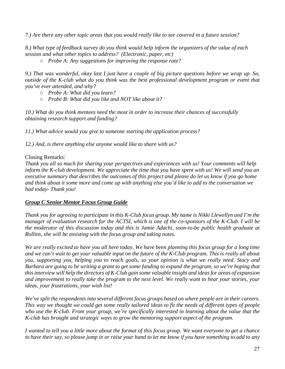*7.) Are there any other topic areas that you would really like to see covered in a future session?*

*8.) What type of feedback survey do you think would help inform the organizers of the value of each session and what other topics to address? (Electronic, paper, etc)* 

○ *Probe A: Any suggestions for improving the response rate?*

*9.) That was wonderful, okay last I just have a couple of big picture questions before we wrap up. So, outside of the K-club what do you think was the best professional development program or event that you've ever attended, and why?*

- *Probe A: What did you learn?*
- *Probe B: What did you like and NOT like about it?*

*10.) What do you think mentees need the most in order to increase their chances of successfully obtaining research support and funding?*

*11.) What advice would you give to someone starting the application process?*

*12.) And, is there anything else anyone would like to share with us?*

# Closing Remarks:

*Thank you all so much for sharing your perspectives and experiences with us! Your comments will help inform the K-club development. We appreciate the time that you have spent with us! We will send you an executive summary that describes the outcomes of this project and please do let us know if you go home and think about it some more and come up with anything else you'd like to add to the conversation we had today- Thank you!*

# *Group C Senior Mentor Focus Group Guide*

*Thank you for agreeing to participate in this K-Club focus group. My name is Nikki Llewellyn and I'm the manager of evaluation research for the ACTSI, which is one of the co-sponsors of the K-Club. I will be the moderator of this discussion today and this is Jamie Adachi, soon-to-be public health graduate at Rollins, she will be assisting with the focus group and taking notes.*

*We are really excited to have you all here today. We have been planning this focus group for a long time and we can't wait to get your valuable input on the future of the K-Club program. This is really all about you, supporting you, helping you to reach goals, so your opinion is what we really need. Stacy and Barbara are going to be writing a grant to get some funding to expand the program, so we're hoping that this interview will help the directors of K-Club gain some valuable insight and ideas for areas of expansion and improvement to really take the program to the next level. We really want to hear your stories, your ideas, your frustrations, your wish list!* 

*We've split the respondents into several different focus groups based on where people are in their careers. This way we thought we could get some really tailored ideas to fit the needs of different types of people who use the K-club. From your group, we're specifically interested in learning about the value that the K-club has brought and strategic ways to grow the mentoring support aspect of the program.*

*I wanted to tell you a little more about the format of this focus group. We want everyone to get a chance to have their say, so please jump in or raise your hand to let me know if you have something to add to any*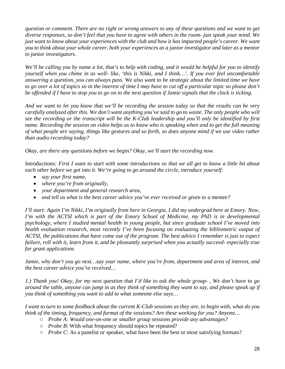*question or comment. There are no right or wrong answers to any of these questions and we want to get diverse responses, so don't feel that you have to agree with others in the room- just speak your mind. We just want to know about your experiences with the club and how it has impacted people's career. We want you to think about your whole career, both your experiences as a junior investigator and later as a mentor to junior investigators.* 

*We'll be calling you by name a lot, that's to help with coding, and it would be helpful for you to identify yourself when you chime in as well- like, 'this is Nikki, and I think…'. If you ever feel uncomfortable answering a question, you can always pass. We also want to be strategic about the limited time we have to go over a lot of topics so in the interest of time I may have to cut off a particular topic so please don't be offended if I have to stop you to go on to the next question if Jamie signals that the clock is ticking.* 

*And we want to let you know that we'll be recording the session today so that the results can be very carefully analyzed after this. We don't want anything you've said to go to waste. The only people who will see the recording or the transcript will be the K-Club leadership and you'll only be identified by first name. Recording the session on video helps us to know who is speaking when and to get the full meaning of what people are saying, things like gestures and so forth, so does anyone mind if we use video rather than audio recording today?*

*Okay, are there any questions before we begin? Okay, we'll start the recording now.*

Introductions*: First I want to start with some introductions so that we all get to know a little bit about each other before we get into it. We're going to go around the circle, introduce yourself:*

- *say your first name,*
- *where you're from originally,*
- *your department and general research area,*
- *and tell us what is the best career advice you've ever received or given to a mentee?*

*I'll start: Again I'm Nikki, I'm originally from here in Georgia, I did my undergrad here at Emory. Now, I'm with the ACTSI which is part of the Emory School of Medicine, my PhD is in developmental psychology, where I studied mental health in young people, but since graduate school I've moved into health evaluation research, most recently I've been focusing on evaluating the bibliometric output of ACTSI, the publications that have come out of the program. The best advice I remember is just to expect failure, roll with it, learn from it, and be pleasantly surprised when you actually succeed- especially true for grant applications*

*Jamie, why don't you go next…say your name, where you're from, department and area of interest, and the best career advice you've received…*

*1.) Thank you! Okay, for my next question that I'd like to ask the whole group- , We don't have to go around the table, anyone can jump in as they think of something they want to say, and please speak up if you think of something you want to add to what someone else says…* 

*I want to turn to some feedback about the current K-Club sessions as they are, to begin with, what do you think of the timing, frequency, and format of the sessions? Are these working for you? Anyone…*

- *Probe A: Would one-on-one or smaller group sessions provide any advantages?*
- *Probe B*: With what frequency should topics be repeated?
- *Probe C*: As a panelist or speaker, what have been the best or most satisfying formats?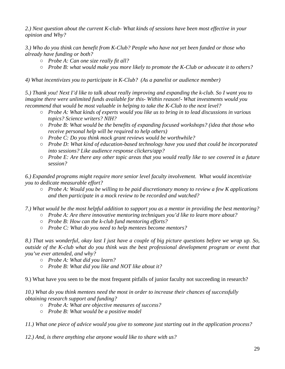*2.) Next question about the current K-club- What kinds of sessions have been most effective in your opinion and Why?*

*3.) Who do you think can benefit from K-Club? People who have not yet been funded or those who already have funding or both?* 

- *Probe A: Can one size really fit all?*
- *Probe B: what would make you more likely to promote the K-Club or advocate it to others?*

*4) What incentivizes you to participate in K-Club? (As a panelist or audience member)*

*5.) Thank you! Next I'd like to talk about really improving and expanding the k-club. So I want you to imagine there were unlimited funds available for this- Within reason!- What investments would you recommend that would be most valuable in helping to take the K-Club to the next level?*

- *Probe A: What kinds of experts would you like us to bring in to lead discussions in various topics? Science writers? NIH?*
- *Probe B: What would be the benefits of expanding focused workshops? (idea that those who receive personal help will be required to help others)*
- *Probe C: Do you think mock grant reviews would be worthwhile?*
- *Probe D: What kind of education-based technology have you used that could be incorporated into sessions? Like audience response clickers/app?*
- *Probe E: Are there any other topic areas that you would really like to see covered in a future session?*

*6.) Expanded programs might require more senior level faculty involvement. What would incentivize you to dedicate measurable effort?* 

- *Probe A: Would you be willing to be paid discretionary money to review a few K applications and then participate in a mock review to be recorded and watched?*
- *7.) What would be the most helpful addition to support you as a mentor in providing the best mentoring?*
	- *Probe A: Are there innovative mentoring techniques you'd like to learn more about?*
	- *Probe B: How can the k-club fund mentoring efforts?*
	- *Probe C: What do you need to help mentees become mentors?*

*8.) That was wonderful, okay last I just have a couple of big picture questions before we wrap up. So, outside of the K-club what do you think was the best professional development program or event that you've ever attended, and why?*

- *Probe A: What did you learn?*
- *Probe B: What did you like and NOT like about it?*

9.) What have you seen to be the most frequent pitfalls of junior faculty not succeeding in research?

*10.) What do you think mentees need the most in order to increase their chances of successfully obtaining research support and funding?*

- *Probe A: What are objective measures of success?*
- *Probe B: What would be a positive model*

*11.) What one piece of advice would you give to someone just starting out in the application process?*

*12.) And, is there anything else anyone would like to share with us?*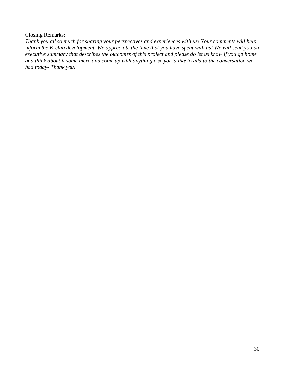#### Closing Remarks:

*Thank you all so much for sharing your perspectives and experiences with us! Your comments will help inform the K-club development. We appreciate the time that you have spent with us! We will send you an executive summary that describes the outcomes of this project and please do let us know if you go home and think about it some more and come up with anything else you'd like to add to the conversation we had today- Thank you!*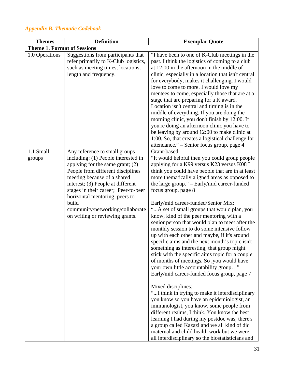# <span id="page-30-0"></span>*Appendix B. Thematic Codebook*

| <b>Themes</b>                      | <b>Definition</b>                                                                                                                                                                                                                                                                                                                                                            | <b>Exemplar Quote</b>                                                                                                                                                                                                                                                                                                                                                                                                                                                                                                                                                                                                                                                                                                                                                                                                                                                                                                                                                                                                                                                                                                                                                                                                                                                                      |
|------------------------------------|------------------------------------------------------------------------------------------------------------------------------------------------------------------------------------------------------------------------------------------------------------------------------------------------------------------------------------------------------------------------------|--------------------------------------------------------------------------------------------------------------------------------------------------------------------------------------------------------------------------------------------------------------------------------------------------------------------------------------------------------------------------------------------------------------------------------------------------------------------------------------------------------------------------------------------------------------------------------------------------------------------------------------------------------------------------------------------------------------------------------------------------------------------------------------------------------------------------------------------------------------------------------------------------------------------------------------------------------------------------------------------------------------------------------------------------------------------------------------------------------------------------------------------------------------------------------------------------------------------------------------------------------------------------------------------|
| <b>Theme 1. Format of Sessions</b> |                                                                                                                                                                                                                                                                                                                                                                              |                                                                                                                                                                                                                                                                                                                                                                                                                                                                                                                                                                                                                                                                                                                                                                                                                                                                                                                                                                                                                                                                                                                                                                                                                                                                                            |
| 1.0 Operations                     | Suggestions from participants that<br>refer primarily to K-Club logistics,<br>such as meeting times, locations,<br>length and frequency.                                                                                                                                                                                                                                     | "I have been to one of K-Club meetings in the<br>past. I think the logistics of coming to a club<br>at 12:00 in the afternoon in the middle of<br>clinic, especially in a location that isn't central<br>for everybody, makes it challenging. I would<br>love to come to more. I would love my<br>mentees to come, especially those that are at a<br>stage that are preparing for a K award.<br>Location isn't central and timing is in the<br>middle of everything. If you are doing the<br>morning clinic, you don't finish by 12:00. If<br>you're doing an afternoon clinic you have to<br>be leaving by around 12:00 to make clinic at<br>1:00. So, that creates a logistical challenge for<br>attendance." – Senior focus group, page 4                                                                                                                                                                                                                                                                                                                                                                                                                                                                                                                                               |
| 1.1 Small<br>groups                | Any reference to small groups<br>including: (1) People interested in<br>applying for the same grant; $(2)$<br>People from different disciplines<br>meeting because of a shared<br>interest; (3) People at different<br>stages in their career; Peer-to-peer<br>horizontal mentoring peers to<br>build<br>community/networking/collaborate<br>on writing or reviewing grants. | Grant-based:<br>"It would helpful then you could group people<br>applying for a K99 versus K23 versus K08 I<br>think you could have people that are in at least<br>more thematically aligned areas as opposed to<br>the large group." - Early/mid career-funded<br>focus group, page 8<br>Early/mid career-funded/Senior Mix:<br>"A set of small groups that would plan, you<br>know, kind of the peer mentoring with a<br>senior person that would plan to meet after the<br>monthly session to do some intensive follow<br>up with each other and maybe, if it's around<br>specific aims and the next month's topic isn't<br>something as interesting, that group might<br>stick with the specific aims topic for a couple<br>of months of meetings. So ,you would have<br>your own little accountability group" -<br>Early/mid career-funded focus group, page 7<br>Mixed disciplines:<br>"I think in trying to make it interdisciplinary<br>you know so you have an epidemiologist, an<br>immunologist, you know, some people from<br>different realms, I think. You know the best<br>learning I had during my postdoc was, there's<br>a group called Kazazi and we all kind of did<br>maternal and child health work but we were<br>all interdisciplinary so the biostatisticians and |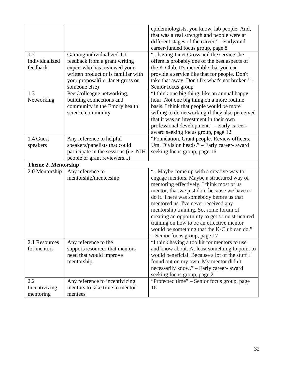| 1.2<br>Individualized<br>feedback | Gaining individualized 1:1<br>feedback from a grant writing<br>expert who has reviewed your<br>written product or is familiar with<br>your proposal(i.e. Janet gross or | epidemiologists, you know, lab people. And,<br>that was a real strength and people were at<br>different stages of the career." - Early/mid<br>career-funded focus group, page 8<br>"having Janet Gross and the service she<br>offers is probably one of the best aspects of<br>the K-Club. It's incredible that you can<br>provide a service like that for people. Don't<br>take that away. Don't fix what's not broken." -                                                                   |
|-----------------------------------|-------------------------------------------------------------------------------------------------------------------------------------------------------------------------|-----------------------------------------------------------------------------------------------------------------------------------------------------------------------------------------------------------------------------------------------------------------------------------------------------------------------------------------------------------------------------------------------------------------------------------------------------------------------------------------------|
| 1.3<br>Networking                 | someone else)<br>Peer/colleague networking,<br>building connections and<br>community in the Emory health<br>science community                                           | Senior focus group<br>"I think one big thing, like an annual happy<br>hour. Not one big thing on a more routine<br>basis. I think that people would be more<br>willing to do networking if they also perceived<br>that it was an investment in their own<br>professional development." - Early career-<br>award seeking focus group, page 12                                                                                                                                                  |
| 1.4 Guest<br>speakers             | Any reference to helpful<br>speakers/panelists that could<br>participate in the sessions (i.e. NIH<br>people or grant reviewers)                                        | "Foundation. Grant people. Review officers.<br>Um. Division heads." - Early career- award<br>seeking focus group, page 16                                                                                                                                                                                                                                                                                                                                                                     |
| <b>Theme 2. Mentorship</b>        |                                                                                                                                                                         |                                                                                                                                                                                                                                                                                                                                                                                                                                                                                               |
| 2.0 Mentorship                    | Any reference to<br>mentorship/menteeship                                                                                                                               | "Maybe come up with a creative way to<br>engage mentors. Maybe a structured way of<br>mentoring effectively. I think most of us<br>mentor, that we just do it because we have to<br>do it. There was somebody before us that<br>mentored us. I've never received any<br>mentorship training. So, some forum of<br>creating an opportunity to get some structured<br>training on how to be an effective mentor<br>would be something that the K-Club can do."<br>- Senior focus group, page 17 |
| 2.1 Resources<br>for mentors      | Any reference to the<br>support/resources that mentors<br>need that would improve<br>mentorship.                                                                        | "I think having a toolkit for mentors to use<br>and know about. At least something to point to<br>would beneficial. Because a lot of the stuff I<br>found out on my own. My mentor didn't<br>necessarily know." - Early career- award<br>seeking focus group, page 2                                                                                                                                                                                                                          |
| 2.2<br>Incentivizing<br>mentoring | Any reference to incentivizing<br>mentors to take time to mentor<br>mentees                                                                                             | "Protected time" - Senior focus group, page<br>16                                                                                                                                                                                                                                                                                                                                                                                                                                             |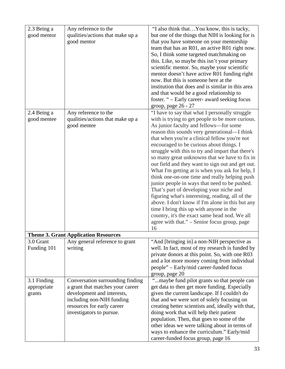| 2.3 Being a | Any reference to the                 | "I also think that You know, this is tacky,        |
|-------------|--------------------------------------|----------------------------------------------------|
| good mentor | qualities/actions that make up a     | but one of the things that NIH is looking for is   |
|             | good mentor                          | that you have someone on your mentorship           |
|             |                                      | team that has an R01, an active R01 right now.     |
|             |                                      | So, I think some targeted matchmaking on           |
|             |                                      | this. Like, so maybe this isn't your primary       |
|             |                                      | scientific mentor. So, maybe your scientific       |
|             |                                      | mentor doesn't have active R01 funding right       |
|             |                                      | now. But this is someone here at the               |
|             |                                      | institution that does and is similar in this area  |
|             |                                      | and that would be a good relationship to           |
|             |                                      | foster. " – Early career- award seeking focus      |
|             |                                      | group, page 26 - 27                                |
| 2.4 Being a | Any reference to the                 | "I have to say that what I personally struggle     |
| good mentee | qualities/actions that make up a     | with is trying to get people to be more curious.   |
|             | good mentee                          | As junior faculty and fellows—for some             |
|             |                                      | reason this sounds very generational—I think       |
|             |                                      | that when you're a clinical fellow you're not      |
|             |                                      | encouraged to be curious about things. I           |
|             |                                      | struggle with this to try and impart that there's  |
|             |                                      | so many great unknowns that we have to fix in      |
|             |                                      | our field and they want to sign out and get out.   |
|             |                                      | What I'm getting at is when you ask for help, I    |
|             |                                      | think one-on-one time and really helping push      |
|             |                                      | junior people in ways that need to be pushed.      |
|             |                                      | That's part of developing your niche and           |
|             |                                      | figuring what's interesting, reading, all of the   |
|             |                                      | above. I don't know if I'm alone in this but any   |
|             |                                      | time I bring this up with anyone in the            |
|             |                                      | country, it's the exact same head nod. We all      |
|             |                                      | agree with that." – Senior focus group, page       |
|             |                                      | 16                                                 |
|             | Theme 3. Grant Application Resources |                                                    |
| 3.0 Grant   | Any general reference to grant       | "And [bringing in] a non-NIH perspective as        |
| Funding 101 | writing                              | well. In fact, most of my research is funded by    |
|             |                                      | private donors at this point. So, with one R03     |
|             |                                      | and a lot more money coming from individual        |
|             |                                      | people" – Early/mid career-funded focus            |
|             |                                      | group, page 20                                     |
| 3.1 Finding | Conversation surrounding finding     | "maybe fund pilot grants so that people can        |
| appropriate | a grant that matches your career     | get data to then get more funding. Especially      |
| grants      | development and interests,           | given the current landscape. If I couldn't do      |
|             | including non-NIH funding            | that and we were sort of solely focusing on        |
|             | resources for early career           | creating better scientists and, ideally with that, |
|             | investigators to pursue.             | doing work that will help their patient            |
|             |                                      | population. Then, that goes to some of the         |
|             |                                      | other ideas we were talking about in terms of      |
|             |                                      | ways to enhance the curriculum." Early/mid         |
|             |                                      | career-funded focus group, page 16                 |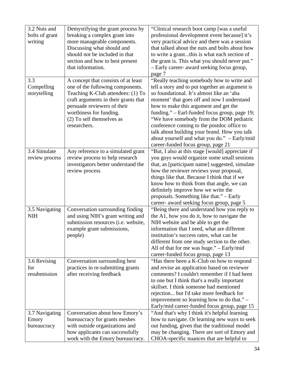| 3.2 Nuts and   | Demystifying the grant process by    | "Clinical research boot camp [was a useful]      |
|----------------|--------------------------------------|--------------------------------------------------|
| bolts of grant | breaking a complex grant into        | professional development event because] it's     |
| writing        | more manageable components.          | very practical advice and there was a session    |
|                | Discussing what should and           | that talked about the nuts and bolts about how   |
|                | should not be included in that       | to write a grantthis is what each section of     |
|                | section and how to best present      | the grant is. This what you should never put."   |
|                | that information.                    | - Early career- award seeking focus group,       |
|                |                                      | page 7                                           |
| 3.3            | A concept that consists of at least  | "Really teaching somebody how to write and       |
| Compelling     | one of the following components.     | tell a story and to put together an argument is  |
| storytelling   | Teaching K-Club attendees: (1) To    | so foundational. It's almost like an 'aha        |
|                | craft arguments in their grants that | moment' that goes off and now I understand       |
|                | persuade reviewers of their          | how to make this argument and get the            |
|                | worthiness for funding.              | funding." - Earl-funded focus group, page 19;    |
|                | (2) To sell themselves as            | "We have somebody from the DOM pediatric         |
|                | researchers.                         | conference coming to the postdoc office to       |
|                |                                      | talk about building your brand. How you talk     |
|                |                                      | about yourself and what you do." - Early/mid     |
|                |                                      | career-funded focus group, page 21               |
| 3.4 Simulate   | Any reference to a simulated grant   | "But, I also at this stage [would] appreciate if |
| review process | review process to help research      | you guys would organize some small sessions      |
|                | investigators better understand the  | that, as [participant name] suggested, simulate  |
|                | review process                       | how the reviewer reviews your proposal,          |
|                |                                      | things like that. Because I think that if we     |
|                |                                      | know how to think from that angle, we can        |
|                |                                      | definitely improve how we write the              |
|                |                                      | proposals. Something like that." - Early         |
|                |                                      | career- award seeking focus group, page 5        |
| 3.5 Navigating | Conversation surrounding finding     | "Being there and understand how you reply to     |
| <b>NIH</b>     | and using NIH's grant writing and    | the A1, how you do it, how to navigate the       |
|                | submission resources (i.e. website,  | NIH website and be able to get the               |
|                | example grant submissions,           | information that I need, what are different      |
|                | people)                              | institution's success rates, what can be         |
|                |                                      | different from one study section to the other.   |
|                |                                      | All of that for me was huge." – Early/mid        |
|                |                                      | career-funded focus group, page 13               |
| 3.6 Revising   | Conversation surrounding best        | "Has there been a K-Club on how to respond       |
| for            | practices in re-submitting grants    | and revise an application based on reviewer      |
| resubmission   | after receiving feedback             | comments? I couldn't remember if I had been      |
|                |                                      | to one but I think that's a really important     |
|                |                                      | skillset. I think someone had mentioned          |
|                |                                      | rejection but I'd take more feedback for         |
|                |                                      | improvement so learning how to do that." -       |
|                |                                      | Early/mid career-funded focus group, page 15     |
| 3.7 Navigating | Conversation about how Emory's       | "And that's why I think it's helpful learning    |
| Emory          | bureaucracy for grants meshes        | how to navigate. Or learning new ways to seek    |
| bureaucracy    | with outside organizations and       | out funding, given that the traditional model    |
|                | how applicants can successfully      | may be changing. There are sort of Emory and     |
|                | work with the Emory bureaucracy.     | CHOA-specific nuances that are helpful to        |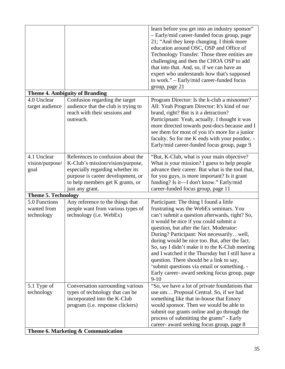|                                            |                                                                                                                                                                                                       | learn before you get into an industry sponsor"<br>- Early/mid career-funded focus group, page<br>21; "And they keep changing. I think more<br>education around OSC, OSP and Office of<br>Technology Transfer. Those three entities are<br>challenging and then the CHOA OSP to add<br>that into that. And, so, if we can have an<br>expert who understands how that's supposed                                                                                                                                                                                                        |
|--------------------------------------------|-------------------------------------------------------------------------------------------------------------------------------------------------------------------------------------------------------|---------------------------------------------------------------------------------------------------------------------------------------------------------------------------------------------------------------------------------------------------------------------------------------------------------------------------------------------------------------------------------------------------------------------------------------------------------------------------------------------------------------------------------------------------------------------------------------|
|                                            |                                                                                                                                                                                                       | to work." - Early/mid career-funded focus<br>group, page 21                                                                                                                                                                                                                                                                                                                                                                                                                                                                                                                           |
|                                            | <b>Theme 4. Ambiguity of Branding</b>                                                                                                                                                                 |                                                                                                                                                                                                                                                                                                                                                                                                                                                                                                                                                                                       |
| 4.0 Unclear<br>target audience             | Confusion regarding the target<br>audience that the club is trying to<br>reach with their sessions and<br>outreach.                                                                                   | Program Director: Is the k-club a misnomer?<br>All: Yeah Program Director: It's kind of our<br>brand, right? But is it a detraction?<br>Participnant: Yeah, actually. I thought it was<br>more directed towards post-docs because and I<br>see them for most of you it's more for a junior<br>faculty. So for me K ends with your postdoc. -<br>Early/mid career-funded focus group, page 9                                                                                                                                                                                           |
| 4.1 Unclear<br>vision/purpose/<br>goal     | References to confusion about the<br>K-Club's mission/vision/purpose,<br>especially regarding whether its<br>purpose is career development, or<br>to help members get K grants, or<br>just any grant. | "But, K-Club, what is your main objective?<br>What is your mission? I guess to help people<br>advance their career. But what is the tool that,<br>for you guys, is more important? Is it grant<br>funding? Is it-I don't know." Early/mid<br>career-funded focus group, page 11                                                                                                                                                                                                                                                                                                       |
| <b>Theme 5. Technology</b>                 |                                                                                                                                                                                                       |                                                                                                                                                                                                                                                                                                                                                                                                                                                                                                                                                                                       |
| 5.0 Functions<br>wanted from<br>technology | Any reference to the things that<br>people want from various types of<br>technology (i.e. WebEx)                                                                                                      | Participant: The thing I found a little<br>frustrating was the WebEx seminars. You<br>can't submit a question afterwards, right? So,<br>it would be nice if you could submit a<br>question, but after the fact. Moderator:<br>During? Participant: Not necessarilywell,<br>during would be nice too. But, after the fact.<br>So, say I didn't make it to the K-Club meeting<br>and I watched it the Thursday but I still have a<br>question. There should be a link to say,<br>'submit questions via email or something. -<br>Early career- award seeking focus group, page<br>$9-10$ |
| 5.1 Type of<br>technology                  | Conversation surrounding various<br>types of technology that can be<br>incorporated into the K-Club<br>program (i.e. response clickers)                                                               | "So, we have a lot of private foundations that<br>use um Proposal Central. So, if we had<br>something like that in-house that Emory<br>would sponsor. Then we would be able to<br>submit our grants online and go through the<br>process of submitting the grants" - Early<br>career- award seeking focus group, page 8                                                                                                                                                                                                                                                               |
|                                            | Theme 6. Marketing & Communication                                                                                                                                                                    |                                                                                                                                                                                                                                                                                                                                                                                                                                                                                                                                                                                       |